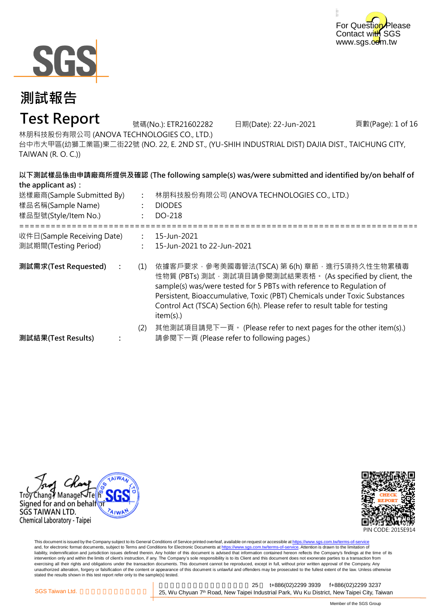



## **Test Report**

號碼(No.): ETR21602282 日期(Date): 22-Jun-2021

頁數(Page): 1 of 16

林朋科技股份有限公司 (ANOVA TECHNOLOGIES CO., LTD.)

台中市大甲區(幼獅工業區)東二街22號 (NO. 22, E. 2ND ST., (YU-SHIH INDUSTRIAL DIST) DAJIA DIST., TAICHUNG CITY, TAIWAN (R. O. C.))

**以下測試樣品係由申請廠商所提供及確認 (The following sample(s) was/were submitted and identified by/on behalf of**

| the applicant as):<br>送樣廠商(Sample Submitted By)<br>樣品名稱(Sample Name)<br>樣品型號(Style/Item No.) | $\ddot{\cdot}$       | 以下测试像的保田平萌减商所提供及堆芯 (The following sample(s) was/were submitted and identified by/on behalf of<br>林朋科技股份有限公司 (ANOVA TECHNOLOGIES CO., LTD.)<br><b>DIODES</b><br>DO-218                                                                                                                                                                                       |
|----------------------------------------------------------------------------------------------|----------------------|-------------------------------------------------------------------------------------------------------------------------------------------------------------------------------------------------------------------------------------------------------------------------------------------------------------------------------------------------------------|
| 收件日(Sample Receiving Date)<br>測試期間(Testing Period)                                           | $\ddot{\phantom{a}}$ | 15-Jun-2021<br>15-Jun-2021 to 22-Jun-2021                                                                                                                                                                                                                                                                                                                   |
| 測試需求(Test Requested)<br>$\ddot{\cdot}$                                                       | (1)                  | 依據客戶要求,參考美國毒管法(TSCA) 第 6(h) 章節,進行5項持久性生物累積毒<br>性物質 (PBTs) 測試, 測試項目請參閱測試結果表格。 (As specified by client, the<br>sample(s) was/were tested for 5 PBTs with reference to Regulation of<br>Persistent, Bioaccumulative, Toxic (PBT) Chemicals under Toxic Substances<br>Control Act (TSCA) Section 6(h). Please refer to result table for testing<br>$item(s)$ .) |
| 測試結果(Test Results)                                                                           | (2)                  | 其他測試項目請見下一頁。 (Please refer to next pages for the other item(s).)<br>請參閱下一頁 (Please refer to following pages.)                                                                                                                                                                                                                                               |





This document is issued by the Company subject to its General Conditions of Service printed overleaf, available on request or accessible at <u>https://www.sgs.com.tw/terms-of-service</u><br>and, for electronic format documents, su liability, indemnification and jurisdiction issues defined therein. Any holder of this document is advised that information contained hereon reflects the Company's findings at the time of its intervention only and within the limits of client's instruction, if any. The Company's sole responsibility is to its Client and this document does not exonerate parties to a transaction from exercising all their rights and obligations under the transaction documents. This document cannot be reproduced, except in full, without prior written approval of the Company. Any<br>unauthorized alteration, forgery or falsif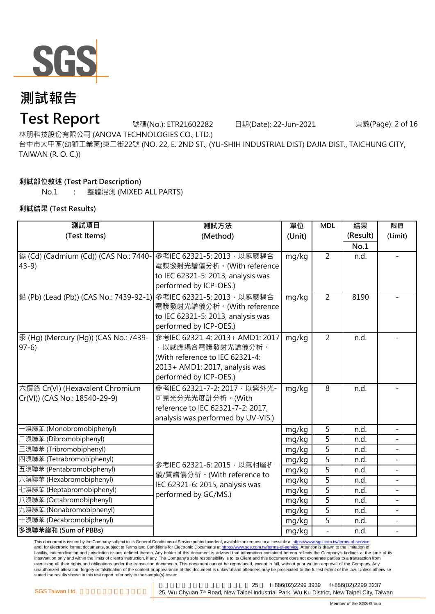

## **Test Report**

號碼(No.): ETR21602282 日期(Date): 22-Jun-2021 頁數(Page): 2 of 16

林朋科技股份有限公司 (ANOVA TECHNOLOGIES CO., LTD.)

台中市大甲區(幼獅工業區)東二街22號 (NO. 22, E. 2ND ST., (YU-SHIH INDUSTRIAL DIST) DAJIA DIST., TAICHUNG CITY, TAIWAN (R. O. C.))

### **測試部位敘述 (Test Part Description)**

No.1 **:** 整體混測 (MIXED ALL PARTS)

### **測試結果 (Test Results)**

| 測試項目                                                                 | 測試方法                                                    | 單位         | <b>MDL</b>     | 結果       | 限值                       |
|----------------------------------------------------------------------|---------------------------------------------------------|------------|----------------|----------|--------------------------|
| (Test Items)                                                         | (Method)                                                | (Unit)     |                | (Result) | (Limit)                  |
|                                                                      |                                                         |            |                | No.1     |                          |
| [鎘 (Cd) (Cadmium (Cd)) (CAS No.: 7440-                               | 參考IEC 62321-5: 2013, 以感應耦合                              | mg/kg      | $\overline{2}$ | n.d.     |                          |
| $43-9$                                                               | 電漿發射光譜儀分析。(With reference                               |            |                |          |                          |
|                                                                      | to IEC 62321-5: 2013, analysis was                      |            |                |          |                          |
|                                                                      | performed by ICP-OES.)                                  |            |                |          |                          |
| │鉛 (Pb) (Lead (Pb)) (CAS No.: 7439-92-1)│參考IEC 62321-5: 2013 · 以感應耦合 |                                                         | mg/kg      | $\overline{2}$ | 8190     |                          |
|                                                                      | 電漿發射光譜儀分析。(With reference                               |            |                |          |                          |
|                                                                      | to IEC 62321-5: 2013, analysis was                      |            |                |          |                          |
|                                                                      | performed by ICP-OES.)                                  |            |                |          |                          |
| 汞 (Hg) (Mercury (Hg)) (CAS No.: 7439-                                | 參考IEC 62321-4: 2013+ AMD1: 2017                         | mg/kg      | $\overline{2}$ | n.d.     |                          |
| $97-6$                                                               | ·以感應耦合電漿發射光譜儀分析。                                        |            |                |          |                          |
|                                                                      | (With reference to IEC 62321-4:                         |            |                |          |                          |
|                                                                      | 2013+ AMD1: 2017, analysis was                          |            |                |          |                          |
|                                                                      | performed by ICP-OES.)                                  |            |                |          |                          |
| 六價鉻 Cr(VI) (Hexavalent Chromium                                      | 參考IEC 62321-7-2: 2017, 以紫外光-                            | mg/kg      | 8              | n.d.     |                          |
| Cr(VI)) (CAS No.: 18540-29-9)                                        | 可見光分光光度計分析。(With                                        |            |                |          |                          |
|                                                                      | reference to IEC 62321-7-2: 2017,                       |            |                |          |                          |
|                                                                      | analysis was performed by UV-VIS.)                      |            |                |          |                          |
| -溴聯苯 (Monobromobiphenyl)                                             |                                                         | 5<br>mg/kg |                | n.d.     | $\equiv$                 |
| 二溴聯苯 (Dibromobiphenyl)                                               | 參考IEC 62321-6: 2015, 以氣相層析                              | mg/kg      | 5              | n.d.     |                          |
| 三溴聯苯 (Tribromobiphenyl)                                              |                                                         | mg/kg      | $\overline{5}$ | n.d.     | $\equiv$                 |
| 四溴聯苯 (Tetrabromobiphenyl)                                            |                                                         | mg/kg      | 5              | n.d.     |                          |
| 五溴聯苯 (Pentabromobiphenyl)                                            | 儀/質譜儀分析。(With reference to                              | mg/kg      | 5              | n.d.     |                          |
| 六溴聯苯 (Hexabromobiphenyl)                                             | IEC 62321-6: 2015, analysis was<br>performed by GC/MS.) | mg/kg      | 5              | n.d.     |                          |
| 七溴聯苯 (Heptabromobiphenyl)                                            |                                                         | mg/kg      | 5              | n.d.     |                          |
| 八溴聯苯 (Octabromobiphenyl)                                             |                                                         | mg/kg      | 5              | n.d.     | $\overline{\phantom{a}}$ |
| 九溴聯苯 (Nonabromobiphenyl)                                             |                                                         | mg/kg      | 5              | n.d.     |                          |
| 十溴聯苯 (Decabromobiphenyl)                                             |                                                         | mg/kg      | 5              | n.d.     | $\overline{\phantom{a}}$ |
| 多溴聯苯總和 (Sum of PBBs)                                                 |                                                         | mg/kg      |                | n.d.     |                          |

This document is issued by the Company subject to its General Conditions of Service printed overleaf, available on request or accessible at https://www.sgs.com.tw/terms-of-service and, for electronic format documents, subject to Terms and Conditions for Electronic Documents at https://www.sgs.com.tw/terms-of-service. Attention is drawn to the limitation of liability, indemnification and jurisdiction issues defined therein. Any holder of this document is advised that information contained hereon reflects the Company's findings at the time of its intervention only and within the limits of client's instruction, if any. The Company's sole responsibility is to its Client and this document does not exonerate parties to a transaction from exercising all their rights and obligations under the transaction documents. This document cannot be reproduced, except in full, without prior written approval of the Company. Any<br>unauthorized alteration, forgery or falsif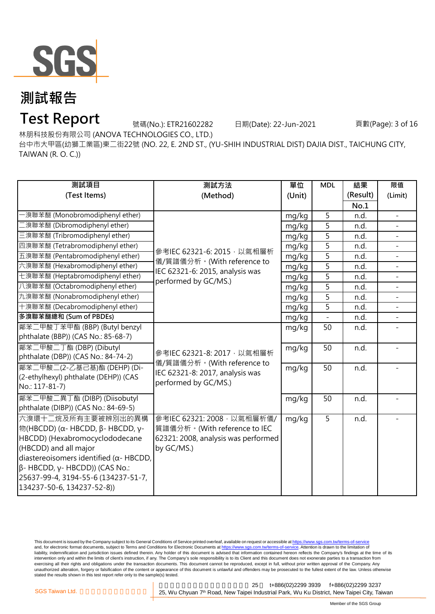

### **Test Report**

號碼(No.): ETR21602282 日期(Date): 22-Jun-2021 頁數(Page): 3 of 16

林朋科技股份有限公司 (ANOVA TECHNOLOGIES CO., LTD.)

台中市大甲區(幼獅工業區)東二街22號 (NO. 22, E. 2ND ST., (YU-SHIH INDUSTRIAL DIST) DAJIA DIST., TAICHUNG CITY, TAIWAN (R. O. C.))

| 測試項目                                            | 測試方法                                                    | 單位     | <b>MDL</b>                                                                                       | 結果       | 限值             |
|-------------------------------------------------|---------------------------------------------------------|--------|--------------------------------------------------------------------------------------------------|----------|----------------|
| (Test Items)                                    | (Method)                                                | (Unit) |                                                                                                  | (Result) | (Limit)        |
|                                                 |                                                         |        |                                                                                                  | No.1     |                |
| -溴聯苯醚 (Monobromodiphenyl ether)                 |                                                         | mg/kg  | 5                                                                                                | n.d.     |                |
| [溴聯苯醚 (Dibromodiphenyl ether)                   |                                                         | mg/kg  | 5                                                                                                | n.d.     |                |
| 三溴聯苯醚 (Tribromodiphenyl ether)                  |                                                         | mg/kg  | 5<br>5<br>5<br>$\overline{5}$<br>5<br>5<br>5<br>5<br>$\overline{a}$<br>50<br>50<br>50<br>50<br>5 | n.d.     | $\mathbf{r}$   |
| 四溴聯苯醚 (Tetrabromodiphenyl ether)                | 參考IEC 62321-6: 2015, 以氣相層析                              | mg/kg  |                                                                                                  | n.d.     |                |
| 五溴聯苯醚 (Pentabromodiphenyl ether)                | 儀/質譜儀分析。(With reference to                              | mg/kg  |                                                                                                  | n.d.     | $\blacksquare$ |
| 六溴聯苯醚 (Hexabromodiphenyl ether)                 | IEC 62321-6: 2015, analysis was<br>performed by GC/MS.) | mg/kg  |                                                                                                  | n.d.     | $\mathbf{r}$   |
| 七溴聯苯醚 (Heptabromodiphenyl ether)                |                                                         | mg/kg  |                                                                                                  | n.d.     |                |
| 八溴聯苯醚 (Octabromodiphenyl ether)                 |                                                         | mg/kg  |                                                                                                  | n.d.     | $\mathbb{L}^2$ |
| 九溴聯苯醚 (Nonabromodiphenyl ether)                 |                                                         | mg/kg  |                                                                                                  | n.d.     |                |
| 十溴聯苯醚 (Decabromodiphenyl ether)                 |                                                         | mg/kg  |                                                                                                  | n.d.     | $\blacksquare$ |
| 多溴聯苯醚總和 (Sum of PBDEs)                          |                                                         | mg/kg  |                                                                                                  | n.d.     | $\overline{a}$ |
| 鄰苯二甲酸丁苯甲酯 (BBP) (Butyl benzyl                   |                                                         | mg/kg  |                                                                                                  | n.d.     |                |
| phthalate (BBP)) (CAS No.: 85-68-7)             |                                                         |        |                                                                                                  |          |                |
| 鄰苯二甲酸二丁酯 (DBP) (Dibutyl                         | 參考IEC 62321-8: 2017, 以氣相層析                              | mg/kg  |                                                                                                  | n.d.     |                |
| phthalate (DBP)) (CAS No.: 84-74-2)             | 儀/質譜儀分析。(With reference to                              |        |                                                                                                  |          |                |
| 鄰苯二甲酸二(2-乙基己基)酯 (DEHP) (Di-                     | IEC 62321-8: 2017, analysis was                         | mg/kg  |                                                                                                  | n.d.     |                |
| (2-ethylhexyl) phthalate (DEHP)) (CAS           | performed by GC/MS.)                                    |        |                                                                                                  |          |                |
| No.: 117-81-7)                                  |                                                         |        |                                                                                                  |          |                |
| 鄰苯二甲酸二異丁酯 (DIBP) (Diisobutyl                    |                                                         | mg/kg  |                                                                                                  | n.d.     |                |
| phthalate (DIBP)) (CAS No.: 84-69-5)            |                                                         |        |                                                                                                  |          |                |
| 六溴環十二烷及所有主要被辨別出的異構                              | 參考IEC 62321: 2008, 以氣相層析儀/                              | mg/kg  |                                                                                                  | n.d.     |                |
| 物(HBCDD) (α- HBCDD, β- HBCDD, γ-                | 質譜儀分析。(With reference to IEC                            |        |                                                                                                  |          |                |
| HBCDD) (Hexabromocyclododecane                  | 62321: 2008, analysis was performed                     |        |                                                                                                  |          |                |
| (HBCDD) and all major                           | by GC/MS.)                                              |        |                                                                                                  |          |                |
| diastereoisomers identified ( $\alpha$ - HBCDD, |                                                         |        |                                                                                                  |          |                |
| $\beta$ - HBCDD, y- HBCDD)) (CAS No.:           |                                                         |        |                                                                                                  |          |                |
| 25637-99-4, 3194-55-6 (134237-51-7,             |                                                         |        |                                                                                                  |          |                |
| 134237-50-6, 134237-52-8))                      |                                                         |        |                                                                                                  |          |                |

This document is issued by the Company subject to its General Conditions of Service printed overleaf, available on request or accessible at <u>https://www.sgs.com.tw/terms-of-service</u><br>and, for electronic format documents, su liability, indemnification and jurisdiction issues defined therein. Any holder of this document is advised that information contained hereon reflects the Company's findings at the time of its intervention only and within the limits of client's instruction, if any. The Company's sole responsibility is to its Client and this document does not exonerate parties to a transaction from exercising all their rights and obligations under the transaction documents. This document cannot be reproduced, except in full, without prior written approval of the Company. Any<br>unauthorized alteration, forgery or falsif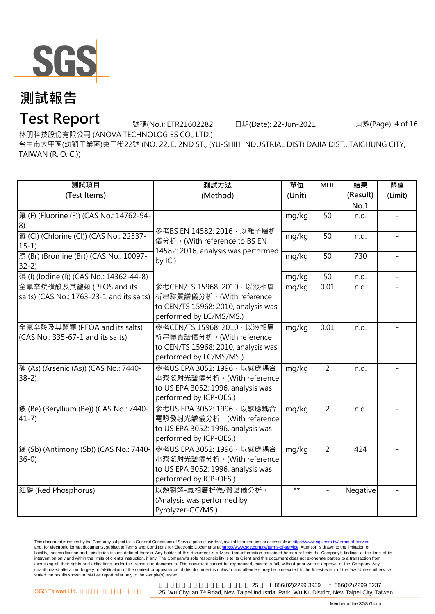

### **Test Report**

號碼(No.): ETR21602282 日期(Date): 22-Jun-2021 頁數(Page): 4 of 16

林朋科技股份有限公司 (ANOVA TECHNOLOGIES CO., LTD.)

台中市大甲區(幼獅工業區)東二街22號 (NO. 22, E. 2ND ST., (YU-SHIH INDUSTRIAL DIST) DAJIA DIST., TAICHUNG CITY, TAIWAN (R. O. C.))

| 測試項目<br>(Test Items)                                                  | 測試方法<br>(Method)                                                                                                         | 單位<br>(Unit) | <b>MDL</b>        | 結果<br>(Result)<br>No.1 | 限值<br>(Limit) |
|-----------------------------------------------------------------------|--------------------------------------------------------------------------------------------------------------------------|--------------|-------------------|------------------------|---------------|
| 氟 (F) (Fluorine (F)) (CAS No.: 14762-94-<br> 8)                       | 參考BS EN 14582: 2016, 以離子層析                                                                                               | mg/kg        | 50                | n.d.                   |               |
| 氯 (Cl) (Chlorine (Cl)) (CAS No.: 22537-<br>$15-1)$                    | 儀分析。(With reference to BS EN<br>14582: 2016, analysis was performed                                                      | mg/kg        | 50                | n.d.                   |               |
| 溴 (Br) (Bromine (Br)) (CAS No.: 10097-<br>$32-2)$                     | by $IC.$ )                                                                                                               | mg/kg        | 50                | 730                    |               |
| 碘 (I) (Iodine (I)) (CAS No.: 14362-44-8)                              |                                                                                                                          | mg/kg        | 50                | n.d.                   |               |
| 全氟辛烷磺酸及其鹽類 (PFOS and its<br>salts) (CAS No.: 1763-23-1 and its salts) | 參考CEN/TS 15968: 2010, 以液相層<br>析串聯質譜儀分析。(With reference<br>to CEN/TS 15968: 2010, analysis was<br>performed by LC/MS/MS.) | mg/kg        | $\overline{0.01}$ | n.d.                   |               |
| 全氟辛酸及其鹽類 (PFOA and its salts)<br>(CAS No.: 335-67-1 and its salts)    | 參考CEN/TS 15968: 2010, 以液相層<br>析串聯質譜儀分析。(With reference<br>to CEN/TS 15968: 2010, analysis was<br>performed by LC/MS/MS.) | mg/kg        | 0.01              | n.d.                   |               |
| 砷 (As) (Arsenic (As)) (CAS No.: 7440-<br>$38-2)$                      | 參考US EPA 3052: 1996, 以感應耦合<br>電漿發射光譜儀分析。(With reference<br>to US EPA 3052: 1996, analysis was<br>performed by ICP-OES.)  | mg/kg        | $\overline{2}$    | n.d.                   |               |
| 鈹 (Be) (Beryllium (Be)) (CAS No.: 7440-<br>$41 - 7$ )                 | 參考US EPA 3052: 1996 · 以感應耦合<br>電漿發射光譜儀分析。(With reference<br>to US EPA 3052: 1996, analysis was<br>performed by ICP-OES.) | mg/kg        | $\overline{2}$    | n.d.                   |               |
| 銻 (Sb) (Antimony (Sb)) (CAS No.: 7440-<br>$36-0$                      | 參考US EPA 3052: 1996, 以感應耦合<br>電漿發射光譜儀分析。(With reference<br>to US EPA 3052: 1996, analysis was<br>performed by ICP-OES.)  | mg/kg        | $\overline{2}$    | 424                    |               |
| 紅磷 (Red Phosphorus)                                                   | 以熱裂解-氣相層析儀/質譜儀分析。<br>(Analysis was performed by<br>Pyrolyzer-GC/MS.)                                                     | $***$        |                   | Negative               |               |

This document is issued by the Company subject to its General Conditions of Service printed overleaf, available on request or accessible at <u>https://www.sgs.com.tw/terms-of-service</u><br>and, for electronic format documents, su liability, indemnification and jurisdiction issues defined therein. Any holder of this document is advised that information contained hereon reflects the Company's findings at the time of its intervention only and within the limits of client's instruction, if any. The Company's sole responsibility is to its Client and this document does not exonerate parties to a transaction from exercising all their rights and obligations under the transaction documents. This document cannot be reproduced, except in full, without prior written approval of the Company. Any<br>unauthorized alteration, forgery or falsif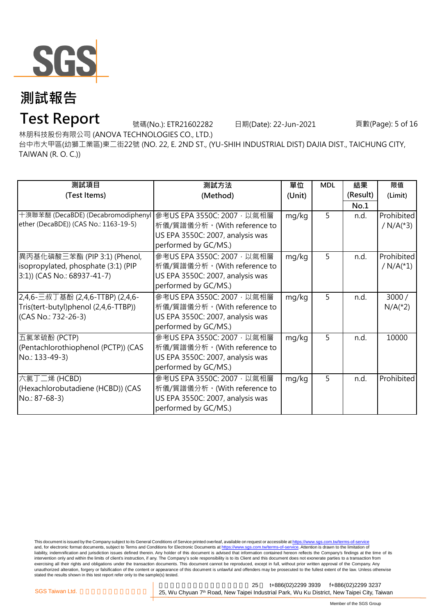

## **Test Report**

號碼(No.): ETR21602282 日期(Date): 22-Jun-2021 頁數(Page): 5 of 16

林朋科技股份有限公司 (ANOVA TECHNOLOGIES CO., LTD.)

台中市大甲區(幼獅工業區)東二街22號 (NO. 22, E. 2ND ST., (YU-SHIH INDUSTRIAL DIST) DAJIA DIST., TAICHUNG CITY, TAIWAN (R. O. C.))

| 測試項目                                                             | 測試方法                             | 單位     | <b>MDL</b> | 結果       | 限值                      |
|------------------------------------------------------------------|----------------------------------|--------|------------|----------|-------------------------|
| (Test Items)                                                     | (Method)                         | (Unit) |            | (Result) | (Limit)                 |
|                                                                  |                                  |        |            | No.1     |                         |
| 十溴聯苯醚 (DecaBDE) (Decabromodiphenyl   參考US EPA 3550C: 2007 · 以氣相層 |                                  | mg/kg  | 5          | n.d.     | Prohibited              |
| ether (DecaBDE)) (CAS No.: 1163-19-5)                            | 析儀/質譜儀分析。(With reference to      |        |            |          | / $N/A$ <sup>(*3)</sup> |
|                                                                  | US EPA 3550C: 2007, analysis was |        |            |          |                         |
|                                                                  | performed by GC/MS.)             |        |            |          |                         |
| 異丙基化磷酸三苯酯 (PIP 3:1) (Phenol,                                     | 參考US EPA 3550C: 2007, 以氣相層       | mg/kg  | 5          | n.d.     | Prohibited              |
| isopropylated, phosphate (3:1) (PIP                              | 析儀/質譜儀分析。(With reference to      |        |            |          | / $N/A$ <sup>(*1)</sup> |
| 3:1)) (CAS No.: 68937-41-7)                                      | US EPA 3550C: 2007, analysis was |        |            |          |                         |
|                                                                  | performed by GC/MS.)             |        |            |          |                         |
| 2,4,6-三叔丁基酚 (2,4,6-TTBP) (2,4,6-                                 | 參考US EPA 3550C: 2007, 以氣相層       | mg/kg  | 5          | n.d.     | 3000/                   |
| Tris(tert-butyl)phenol (2,4,6-TTBP))                             | 析儀/質譜儀分析。(With reference to      |        |            |          | $N/A$ <sup>(*2)</sup>   |
| (CAS No.: 732-26-3)                                              | US EPA 3550C: 2007, analysis was |        |            |          |                         |
|                                                                  | performed by GC/MS.)             |        |            |          |                         |
| 五氯苯硫酚 (PCTP)                                                     | 參考US EPA 3550C: 2007, 以氣相層       | mg/kg  | 5          | n.d.     | 10000                   |
| (Pentachlorothiophenol (PCTP)) (CAS                              | 析儀/質譜儀分析。(With reference to      |        |            |          |                         |
| No.: 133-49-3)                                                   | US EPA 3550C: 2007, analysis was |        |            |          |                         |
|                                                                  | performed by GC/MS.)             |        |            |          |                         |
| 六氯丁二烯 (HCBD)                                                     | 參考US EPA 3550C: 2007,以氣相層        | mg/kg  | 5          | n.d.     | Prohibited              |
| (Hexachlorobutadiene (HCBD)) (CAS                                | 析儀/質譜儀分析。(With reference to      |        |            |          |                         |
| No.: 87-68-3)                                                    | US EPA 3550C: 2007, analysis was |        |            |          |                         |
|                                                                  | performed by GC/MS.)             |        |            |          |                         |

This document is issued by the Company subject to its General Conditions of Service printed overleaf, available on request or accessible at <u>https://www.sgs.com.tw/terms-of-service</u><br>and, for electronic format documents, su liability, indemnification and jurisdiction issues defined therein. Any holder of this document is advised that information contained hereon reflects the Company's findings at the time of its intervention only and within the limits of client's instruction, if any. The Company's sole responsibility is to its Client and this document does not exonerate parties to a transaction from exercising all their rights and obligations under the transaction documents. This document cannot be reproduced, except in full, without prior written approval of the Company. Any<br>unauthorized alteration, forgery or falsif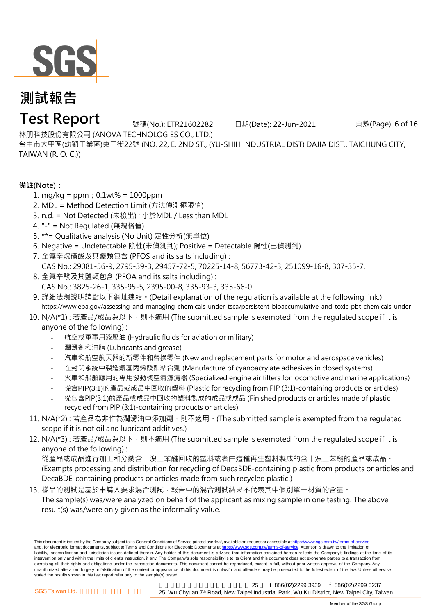

## **Test Report**

號碼(No.): ETR21602282 日期(Date): 22-Jun-2021 頁數(Page): 6 of 16

林朋科技股份有限公司 (ANOVA TECHNOLOGIES CO., LTD.)

台中市大甲區(幼獅工業區)東二街22號 (NO. 22, E. 2ND ST., (YU-SHIH INDUSTRIAL DIST) DAJIA DIST., TAICHUNG CITY, TAIWAN (R. O. C.))

### **備註(Note):**

- 1. mg/kg = ppm;0.1wt% = 1000ppm
- 2. MDL = Method Detection Limit (方法偵測極限值)
- 3. n.d. = Not Detected (未檢出) ; 小於MDL / Less than MDL
- 4. "-" = Not Regulated (無規格值)
- 5. \*\*= Qualitative analysis (No Unit) 定性分析(無單位)
- 6. Negative = Undetectable 陰性(未偵測到); Positive = Detectable 陽性(已偵測到)
- 7. 全氟辛烷磺酸及其鹽類包含 (PFOS and its salts including) :
- CAS No.: 29081-56-9, 2795-39-3, 29457-72-5, 70225-14-8, 56773-42-3, 251099-16-8, 307-35-7.
- 8. 全氟辛酸及其鹽類包含 (PFOA and its salts including) : CAS No.: 3825-26-1, 335-95-5, 2395-00-8, 335-93-3, 335-66-0.
- 9. 詳細法規說明請點以下網址連結。(Detail explanation of the regulation is available at the following link.) [https://](https://www.epa.gov/assessing-and-managing-chemicals-under-tsca/persistent-bioaccumulative-and-toxic-pbt-chemicals-under)www.epa.gov/assessing-and-managing-chemicals-under-tsca/persistent-bioaccumulative-and-toxic-pbt-chemicals-under
- 10. N/A(\*1) : 若產品/成品為以下,則不適用 (The submitted sample is exempted from the requlated scope if it is anyone of the following) :
	- 航空或軍事用液壓油 (Hydraulic fluids for aviation or military)
	- 潤滑劑和油脂 (Lubricants and grease)
	- 汽車和航空航天器的新零件和替換零件 (New and replacement parts for motor and aerospace vehicles)
	- 在封閉系統中製造氰基丙烯酸酯粘合劑 (Manufacture of cyanoacrylate adhesives in closed systems)
	- 火車和船舶應用的專用發動機空氣濾清器 (Specialized engine air filters for locomotive and marine applications)
	- 從含PIP(3:1)的產品或成品中回收的塑料 (Plastic for recycling from PIP (3:1)-containing products or articles)
	- 從包含PIP(3:1)的產品或成品中回收的塑料製成的成品或成品 (Finished products or articles made of plastic recycled from PIP (3:1)-containing products or articles)
- 11. N/A(\*2) : 若產品為非作為潤滑油中添加劑,則不適用。(The submitted sample is exempted from the requlated scope if it is not oil and lubricant additives.)
- 12. N/A(\*3) : 若產品/成品為以下,則不適用 (The submitted sample is exempted from the requlated scope if it is anyone of the following) :

從產品或成品進行加工和分銷含十溴二苯醚回收的塑料或者由這種再生塑料製成的含十溴二苯醚的產品或成品。 (Exempts processing and distribution for recycling of DecaBDE-containing plastic from products or articles and DecaBDE-containing products or articles made from such recycled plastic.)

13. 樣品的測試是基於申請人要求混合測試,報告中的混合測試結果不代表其中個別單一材質的含量。 The sample(s) was/were analyzed on behalf of the applicant as mixing sample in one testing. The above result(s) was/were only given as the informality value.

This document is issued by the Company subject to its General Conditions of Service printed overleaf, available on request or accessible at https://www.sgs.com.tw/terms-of-service and, for electronic format documents, subject to Terms and Conditions for Electronic Documents at https://www.sgs.com.tw/terms-of-service. Attention is drawn to the limitation of liability, indemnification and jurisdiction issues defined therein. Any holder of this document is advised that information contained hereon reflects the Company's findings at the time of its intervention only and within the limits of client's instruction, if any. The Company's sole responsibility is to its Client and this document does not exonerate parties to a transaction from exercising all their rights and obligations under the transaction documents. This document cannot be reproduced, except in full, without prior written approval of the Company. Any unauthorized alteration, forgery or falsification of the content or appearance of this document is unlawful and offenders may be prosecuted to the fullest extent of the law. Unless otherwise stated the results shown in this test report refer only to the sample(s) tested.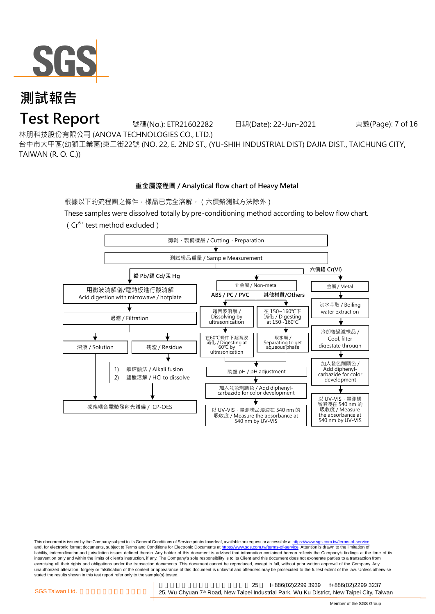

## **Test Report**

號碼(No.): ETR21602282 日期(Date): 22-Jun-2021 頁數(Page): 7 of 16

林朋科技股份有限公司 (ANOVA TECHNOLOGIES CO., LTD.)

台中市大甲區(幼獅工業區)東二街22號 (NO. 22, E. 2ND ST., (YU-SHIH INDUSTRIAL DIST) DAJIA DIST., TAICHUNG CITY, TAIWAN (R. O. C.))

#### **重金屬流程圖 / Analytical flow chart of Heavy Metal**

根據以下的流程圖之條件,樣品已完全溶解。(六價鉻測試方法除外)

These samples were dissolved totally by pre-conditioning method according to below flow chart.

 $(Cr^{6+}$  test method excluded)



This document is issued by the Company subject to its General Conditions of Service printed overleaf, available on request or accessible at https://www.sgs.com.tw/terms-of-service and, for electronic format documents, subject to Terms and Conditions for Electronic Documents at https://www.sgs.com.tw/terms-of-service. Attention is drawn to the limitation of liability, indemnification and jurisdiction issues defined therein. Any holder of this document is advised that information contained hereon reflects the Company's findings at the time of its intervention only and within the limits of client's instruction, if any. The Company's sole responsibility is to its Client and this document does not exonerate parties to a transaction from exercising all their rights and obligations under the transaction documents. This document cannot be reproduced, except in full, without prior written approval of the Company. Any<br>unauthorized alteration, forgery or falsif stated the results shown in this test report refer only to the sample(s) tested.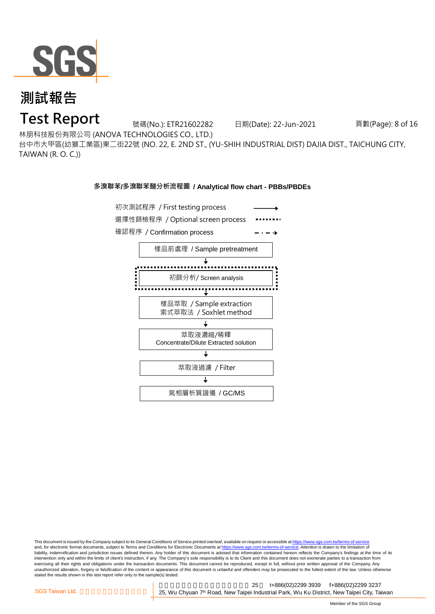

### **Test Report**

號碼(No.): ETR21602282 日期(Date): 22-Jun-2021 頁數(Page): 8 of 16

林朋科技股份有限公司 (ANOVA TECHNOLOGIES CO., LTD.)

台中市大甲區(幼獅工業區)東二街22號 (NO. 22, E. 2ND ST., (YU-SHIH INDUSTRIAL DIST) DAJIA DIST., TAICHUNG CITY, TAIWAN (R. O. C.))

#### **多溴聯苯/多溴聯苯醚分析流程圖 / Analytical flow chart - PBBs/PBDEs**



This document is issued by the Company subject to its General Conditions of Service printed overleaf, available on request or accessible at https://www.sgs.com.tw/terms-of-service and, for electronic format documents, subject to Terms and Conditions for Electronic Documents at https://www.sgs.com.tw/terms-of-service. Attention is drawn to the limitation of liability, indemnification and jurisdiction issues defined therein. Any holder of this document is advised that information contained hereon reflects the Company's findings at the time of its intervention only and within the limits of client's instruction, if any. The Company's sole responsibility is to its Client and this document does not exonerate parties to a transaction from exercising all their rights and obligations under the transaction documents. This document cannot be reproduced, except in full, without prior written approval of the Company. Any<br>unauthorized alteration, forgery or falsif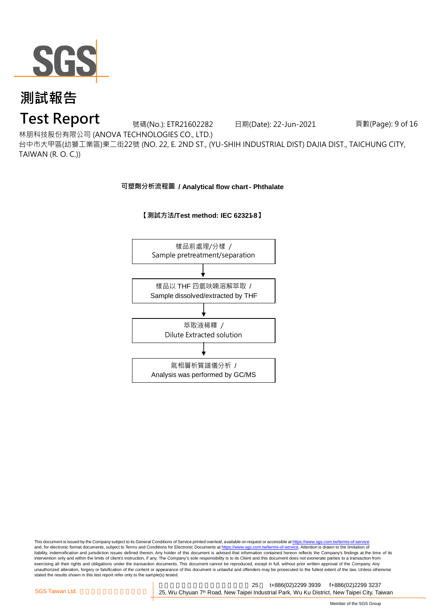

### **Test Report**

號碼(No.): ETR21602282 日期(Date): 22-Jun-2021 頁數(Page): 9 of 16

林朋科技股份有限公司 (ANOVA TECHNOLOGIES CO., LTD.)

台中市大甲區(幼獅工業區)東二街22號 (NO. 22, E. 2ND ST., (YU-SHIH INDUSTRIAL DIST) DAJIA DIST., TAICHUNG CITY, TAIWAN (R. O. C.))

**可塑劑分析流程圖 / Analytical flow chart - Phthalate**



#### **【測試方法/Test method: IEC 62321-8】**

This document is issued by the Company subject to its General Conditions of Service printed overleaf, available on request or accessible at https://www.sgs.com.tw/terms-of-service and, for electronic format documents, subject to Terms and Conditions for Electronic Documents at https://www.sgs.com.tw/terms-of-service. Attention is drawn to the limitation of liability, indemnification and jurisdiction issues defined therein. Any holder of this document is advised that information contained hereon reflects the Company's findings at the time of its intervention only and within the limits of client's instruction, if any. The Company's sole responsibility is to its Client and this document does not exonerate parties to a transaction from exercising all their rights and obligations under the transaction documents. This document cannot be reproduced, except in full, without prior written approval of the Company. Any<br>unauthorized alteration, forgery or falsif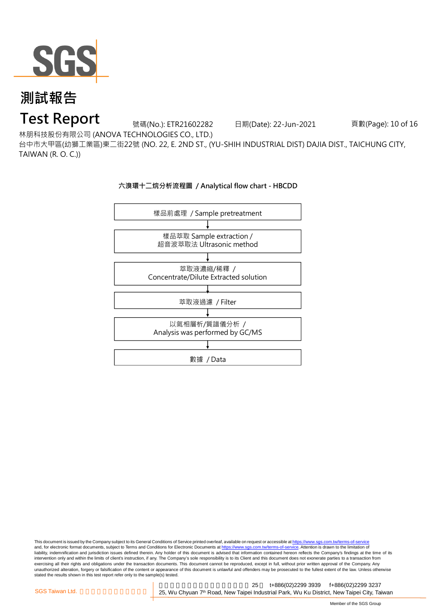

### **Test Report**

號碼(No.): ETR21602282 日期(Date): 22-Jun-2021 頁數(Page): 10 of 16

林朋科技股份有限公司 (ANOVA TECHNOLOGIES CO., LTD.)

台中市大甲區(幼獅工業區)東二街22號 (NO. 22, E. 2ND ST., (YU-SHIH INDUSTRIAL DIST) DAJIA DIST., TAICHUNG CITY, TAIWAN (R. O. C.))



This document is issued by the Company subject to its General Conditions of Service printed overleaf, available on request or accessible at <u>https://www.sgs.com.tw/terms-of-service</u><br>and, for electronic format documents, su liability, indemnification and jurisdiction issues defined therein. Any holder of this document is advised that information contained hereon reflects the Company's findings at the time of its intervention only and within the limits of client's instruction, if any. The Company's sole responsibility is to its Client and this document does not exonerate parties to a transaction from exercising all their rights and obligations under the transaction documents. This document cannot be reproduced, except in full, without prior written approval of the Company. Any<br>unauthorized alteration, forgery or falsif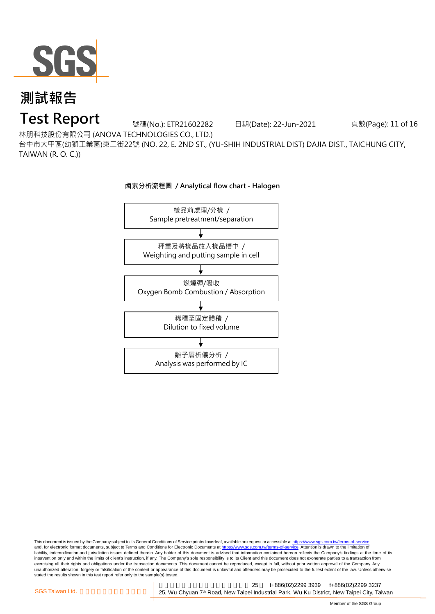

## **Test Report**

號碼(No.): ETR21602282 日期(Date): 22-Jun-2021 頁數(Page): 11 of 16

林朋科技股份有限公司 (ANOVA TECHNOLOGIES CO., LTD.)

台中市大甲區(幼獅工業區)東二街22號 (NO. 22, E. 2ND ST., (YU-SHIH INDUSTRIAL DIST) DAJIA DIST., TAICHUNG CITY, TAIWAN (R. O. C.))



This document is issued by the Company subject to its General Conditions of Service printed overleaf, available on request or accessible at <u>https://www.sgs.com.tw/terms-of-service</u><br>and, for electronic format documents, su liability, indemnification and jurisdiction issues defined therein. Any holder of this document is advised that information contained hereon reflects the Company's findings at the time of its intervention only and within the limits of client's instruction, if any. The Company's sole responsibility is to its Client and this document does not exonerate parties to a transaction from exercising all their rights and obligations under the transaction documents. This document cannot be reproduced, except in full, without prior written approval of the Company. Any<br>unauthorized alteration, forgery or falsif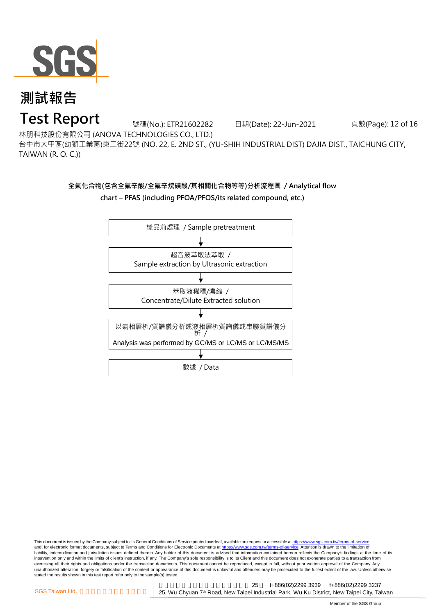

### **Test Report**

號碼(No.): ETR21602282 日期(Date): 22-Jun-2021 頁數(Page): 12 of 16

林朋科技股份有限公司 (ANOVA TECHNOLOGIES CO., LTD.)

台中市大甲區(幼獅工業區)東二街22號 (NO. 22, E. 2ND ST., (YU-SHIH INDUSTRIAL DIST) DAJIA DIST., TAICHUNG CITY, TAIWAN (R. O. C.))

### **全氟化合物(包含全氟辛酸/全氟辛烷磺酸/其相關化合物等等)分析流程圖 / Analytical flow chart – PFAS (including PFOA/PFOS/its related compound, etc.)**



This document is issued by the Company subject to its General Conditions of Service printed overleaf, available on request or accessible at https://www.sgs.com.tw/terms-of-service and, for electronic format documents, subject to Terms and Conditions for Electronic Documents at https://www.sgs.com.tw/terms-of-service. Attention is drawn to the limitation of liability, indemnification and jurisdiction issues defined therein. Any holder of this document is advised that information contained hereon reflects the Company's findings at the time of its intervention only and within the limits of client's instruction, if any. The Company's sole responsibility is to its Client and this document does not exonerate parties to a transaction from exercising all their rights and obligations under the transaction documents. This document cannot be reproduced, except in full, without prior written approval of the Company. Any<br>unauthorized alteration, forgery or falsif stated the results shown in this test report refer only to the sample(s) tested.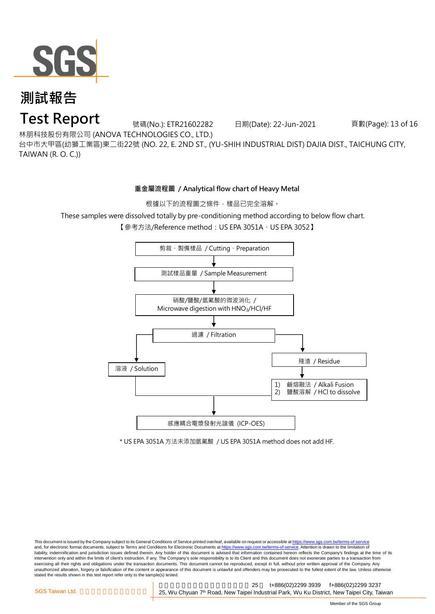

### **Test Report**

號碼(No.): ETR21602282 日期(Date): 22-Jun-2021 頁數(Page): 13 of 16

林朋科技股份有限公司 (ANOVA TECHNOLOGIES CO., LTD.)

台中市大甲區(幼獅工業區)東二街22號 (NO. 22, E. 2ND ST., (YU-SHIH INDUSTRIAL DIST) DAJIA DIST., TAICHUNG CITY, TAIWAN (R. O. C.))

#### **重金屬流程圖 / Analytical flow chart of Heavy Metal**

根據以下的流程圖之條件,樣品已完全溶解。

These samples were dissolved totally by pre-conditioning method according to below flow chart.

【參考方法/Reference method: US EPA 3051A、US EPA 3052】



\* US EPA 3051A 方法未添加氫氟酸 / US EPA 3051A method does not add HF.

This document is issued by the Company subject to its General Conditions of Service printed overleaf, available on request or accessible at https://www.sgs.com.tw/terms-of-service and, for electronic format documents, subject to Terms and Conditions for Electronic Documents at https://www.sgs.com.tw/terms-of-service. Attention is drawn to the limitation of liability, indemnification and jurisdiction issues defined therein. Any holder of this document is advised that information contained hereon reflects the Company's findings at the time of its intervention only and within the limits of client's instruction, if any. The Company's sole responsibility is to its Client and this document does not exonerate parties to a transaction from exercising all their rights and obligations under the transaction documents. This document cannot be reproduced, except in full, without prior written approval of the Company. Any<br>unauthorized alteration, forgery or falsif stated the results shown in this test report refer only to the sample(s) tested.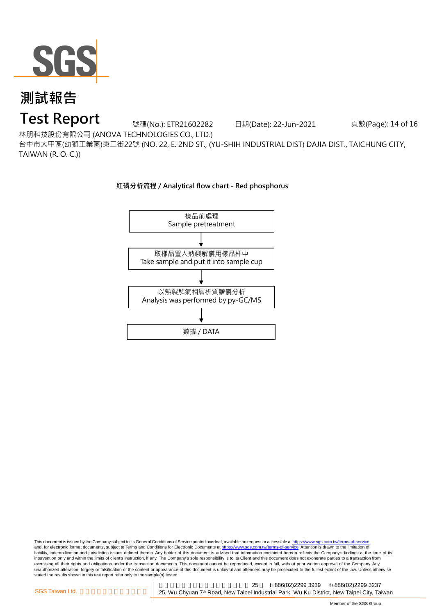

## **Test Report**

號碼(No.): ETR21602282 日期(Date): 22-Jun-2021 頁數(Page): 14 of 16

林朋科技股份有限公司 (ANOVA TECHNOLOGIES CO., LTD.)

台中市大甲區(幼獅工業區)東二街22號 (NO. 22, E. 2ND ST., (YU-SHIH INDUSTRIAL DIST) DAJIA DIST., TAICHUNG CITY, TAIWAN (R. O. C.))



**紅磷分析流程 / Analytical flow chart - Red phosphorus**

This document is issued by the Company subject to its General Conditions of Service printed overleaf, available on request or accessible at https://www.sgs.com.tw/terms-of-service and, for electronic format documents, subject to Terms and Conditions for Electronic Documents at https://www.sgs.com.tw/terms-of-service. Attention is drawn to the limitation of liability, indemnification and jurisdiction issues defined therein. Any holder of this document is advised that information contained hereon reflects the Company's findings at the time of its intervention only and within the limits of client's instruction, if any. The Company's sole responsibility is to its Client and this document does not exonerate parties to a transaction from exercising all their rights and obligations under the transaction documents. This document cannot be reproduced, except in full, without prior written approval of the Company. Any<br>unauthorized alteration, forgery or falsif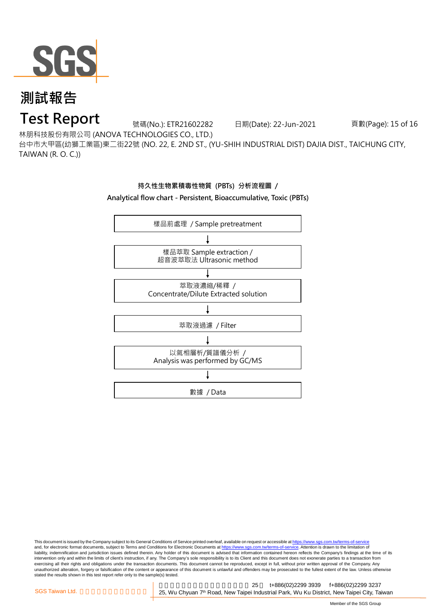

## **Test Report**

號碼(No.): ETR21602282 日期(Date): 22-Jun-2021 頁數(Page): 15 of 16

林朋科技股份有限公司 (ANOVA TECHNOLOGIES CO., LTD.)

台中市大甲區(幼獅工業區)東二街22號 (NO. 22, E. 2ND ST., (YU-SHIH INDUSTRIAL DIST) DAJIA DIST., TAICHUNG CITY, TAIWAN (R. O. C.))

### **持久性生物累積毒性物質 (PBTs) 分析流程圖 /**

**Analytical flow chart - Persistent, Bioaccumulative, Toxic (PBTs)**



This document is issued by the Company subject to its General Conditions of Service printed overleaf, available on request or accessible at <u>https://www.sgs.com.tw/terms-of-service</u><br>and, for electronic format documents, su liability, indemnification and jurisdiction issues defined therein. Any holder of this document is advised that information contained hereon reflects the Company's findings at the time of its intervention only and within the limits of client's instruction, if any. The Company's sole responsibility is to its Client and this document does not exonerate parties to a transaction from exercising all their rights and obligations under the transaction documents. This document cannot be reproduced, except in full, without prior written approval of the Company. Any<br>unauthorized alteration, forgery or falsif